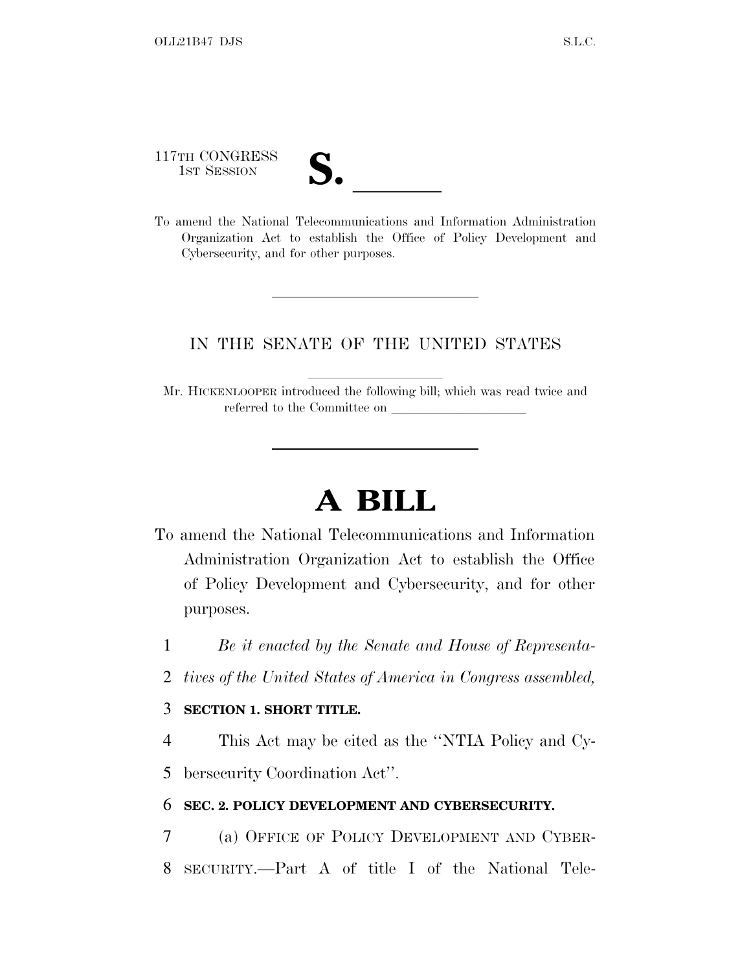117TH CONGRESS

| V. |  |
|----|--|
|    |  |

117TH CONGRESS<br>
1ST SESSION<br>
To amend the National Telecommunications and Information Administration Organization Act to establish the Office of Policy Development and Cybersecurity, and for other purposes.

### IN THE SENATE OF THE UNITED STATES

Mr. HICKENLOOPER introduced the following bill; which was read twice and referred to the Committee on

# **A BILL**

- To amend the National Telecommunications and Information Administration Organization Act to establish the Office of Policy Development and Cybersecurity, and for other purposes.
	- 1 *Be it enacted by the Senate and House of Representa-*
	- 2 *tives of the United States of America in Congress assembled,*

#### 3 **SECTION 1. SHORT TITLE.**

4 This Act may be cited as the ''NTIA Policy and Cy-

5 bersecurity Coordination Act''.

#### 6 **SEC. 2. POLICY DEVELOPMENT AND CYBERSECURITY.**

7 (a) OFFICE OF POLICY DEVELOPMENT AND CYBER-8 SECURITY.—Part A of title I of the National Tele-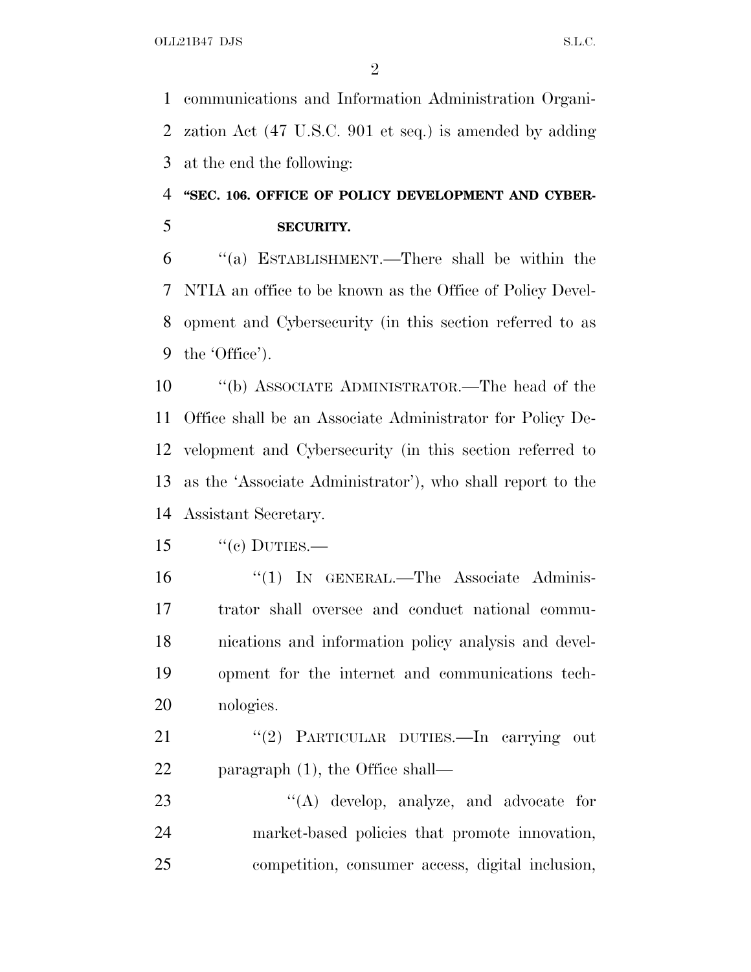communications and Information Administration Organi- zation Act (47 U.S.C. 901 et seq.) is amended by adding at the end the following:

## **''SEC. 106. OFFICE OF POLICY DEVELOPMENT AND CYBER-SECURITY.**

 ''(a) ESTABLISHMENT.—There shall be within the NTIA an office to be known as the Office of Policy Devel- opment and Cybersecurity (in this section referred to as the 'Office').

 ''(b) ASSOCIATE ADMINISTRATOR.—The head of the Office shall be an Associate Administrator for Policy De- velopment and Cybersecurity (in this section referred to as the 'Associate Administrator'), who shall report to the Assistant Secretary.

 ''(1) IN GENERAL.—The Associate Adminis- trator shall oversee and conduct national commu- nications and information policy analysis and devel- opment for the internet and communications tech-nologies.

21 "(2) PARTICULAR DUTIES.—In carrying out 22 paragraph (1), the Office shall—

23 ''(A) develop, analyze, and advocate for market-based policies that promote innovation, competition, consumer access, digital inclusion,

"(c) DUTIES.—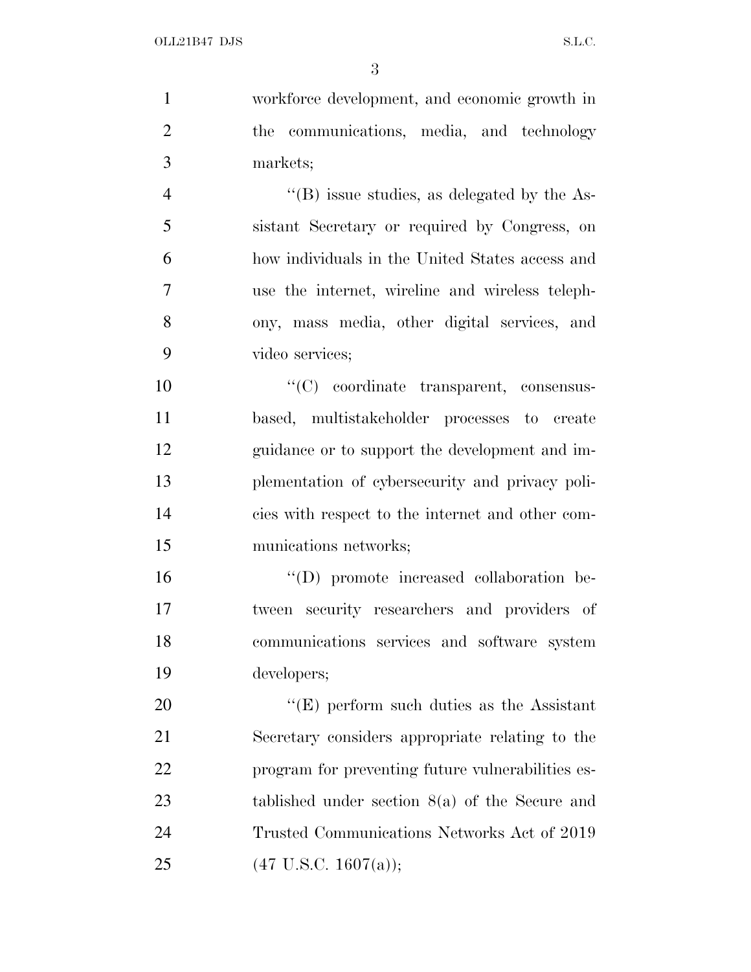workforce development, and economic growth in 2 the communications, media, and technology markets;  $"$ (B) issue studies, as delegated by the As- sistant Secretary or required by Congress, on how individuals in the United States access and use the internet, wireline and wireless teleph- ony, mass media, other digital services, and video services; ''(C) coordinate transparent, consensus- based, multistakeholder processes to create guidance or to support the development and im-

 plementation of cybersecurity and privacy poli- cies with respect to the internet and other com-munications networks;

 ''(D) promote increased collaboration be- tween security researchers and providers of communications services and software system developers;

20 "'(E) perform such duties as the Assistant Secretary considers appropriate relating to the program for preventing future vulnerabilities es- tablished under section 8(a) of the Secure and Trusted Communications Networks Act of 2019 25 (47 U.S.C. 1607(a));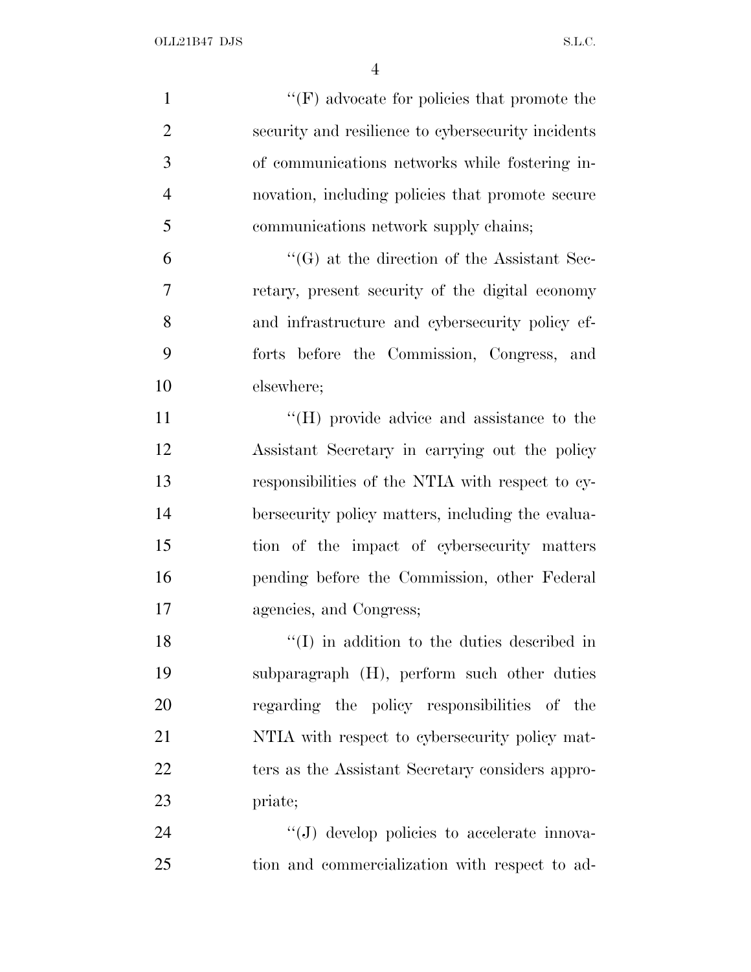| $\mathbf{1}$   | $\lq\lq(F)$ advocate for policies that promote the  |
|----------------|-----------------------------------------------------|
| $\overline{2}$ | security and resilience to cybersecurity incidents  |
| 3              | of communications networks while fostering in-      |
| $\overline{4}$ | novation, including policies that promote secure    |
| 5              | communications network supply chains;               |
| 6              | $\lq\lq(G)$ at the direction of the Assistant Sec-  |
| 7              | retary, present security of the digital economy     |
| 8              | and infrastructure and cybersecurity policy ef-     |
| 9              | forts before the Commission, Congress, and          |
| 10             | elsewhere;                                          |
| 11             | "(H) provide advice and assistance to the           |
| 12             | Assistant Secretary in carrying out the policy      |
| 13             | responsibilities of the NTIA with respect to cy-    |
| 14             | bersecurity policy matters, including the evalua-   |
| 15             | tion of the impact of cybersecurity matters         |
| 16             | pending before the Commission, other Federal        |
| 17             | agencies, and Congress;                             |
| 18             | $\lq\lq$ (I) in addition to the duties described in |
| 19             | subparagraph (H), perform such other duties         |
| 20             | regarding the policy responsibilities of the        |
| 21             | NTIA with respect to cybersecurity policy mat-      |
| 22             | ters as the Assistant Secretary considers appro-    |
| 23             | priate;                                             |
| 24             | "(J) develop policies to accelerate innova-         |
| 25             | tion and commercialization with respect to ad-      |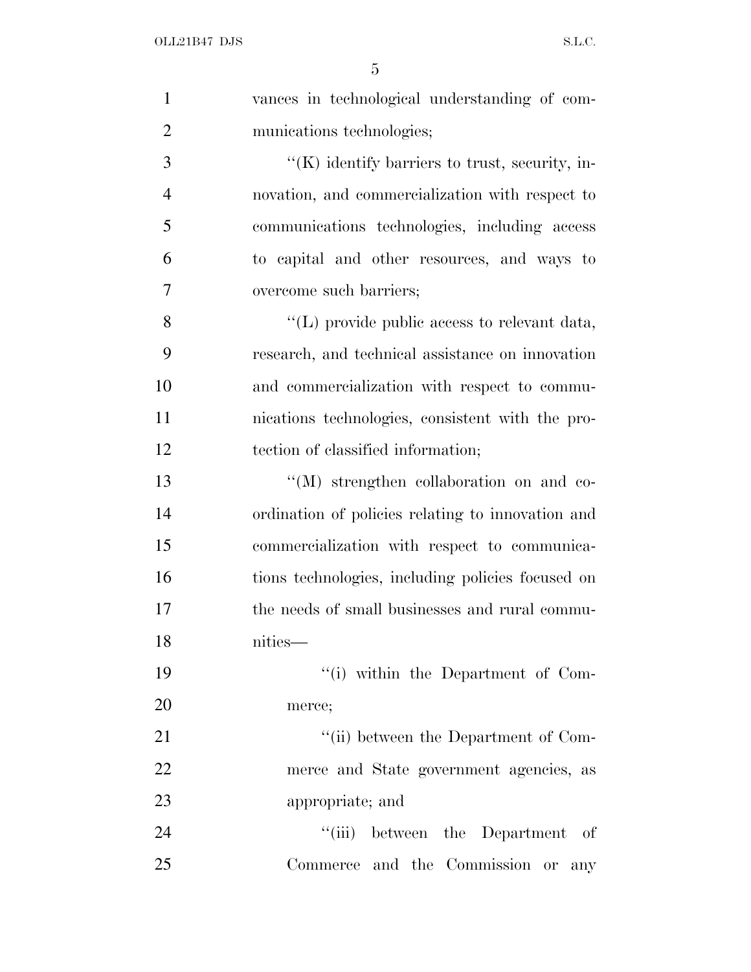| $\mathbf{1}$   | vances in technological understanding of com-        |
|----------------|------------------------------------------------------|
| $\overline{2}$ | munications technologies;                            |
| 3              | $\lq\lq$ identify barriers to trust, security, in-   |
| $\overline{4}$ | novation, and commercialization with respect to      |
| 5              | communications technologies, including access        |
| 6              | to capital and other resources, and ways to          |
| $\overline{7}$ | overcome such barriers;                              |
| 8              | $\lq\lq$ (L) provide public access to relevant data, |
| 9              | research, and technical assistance on innovation     |
| 10             | and commercialization with respect to commu-         |
| 11             | nications technologies, consistent with the pro-     |
| 12             | tection of classified information;                   |
| 13             | "(M) strengthen collaboration on and co-             |
| 14             | ordination of policies relating to innovation and    |
| 15             | commercialization with respect to communica-         |
| 16             | tions technologies, including policies focused on    |
| 17             | the needs of small businesses and rural commu-       |
| 18             | nities—                                              |
| 19             | "(i) within the Department of Com-                   |
| 20             | merce;                                               |
| 21             | "(ii) between the Department of Com-                 |
| 22             | merce and State government agencies, as              |
| 23             | appropriate; and                                     |
| 24             | "(iii) between the Department of                     |
| 25             | Commerce and the Commission or any                   |